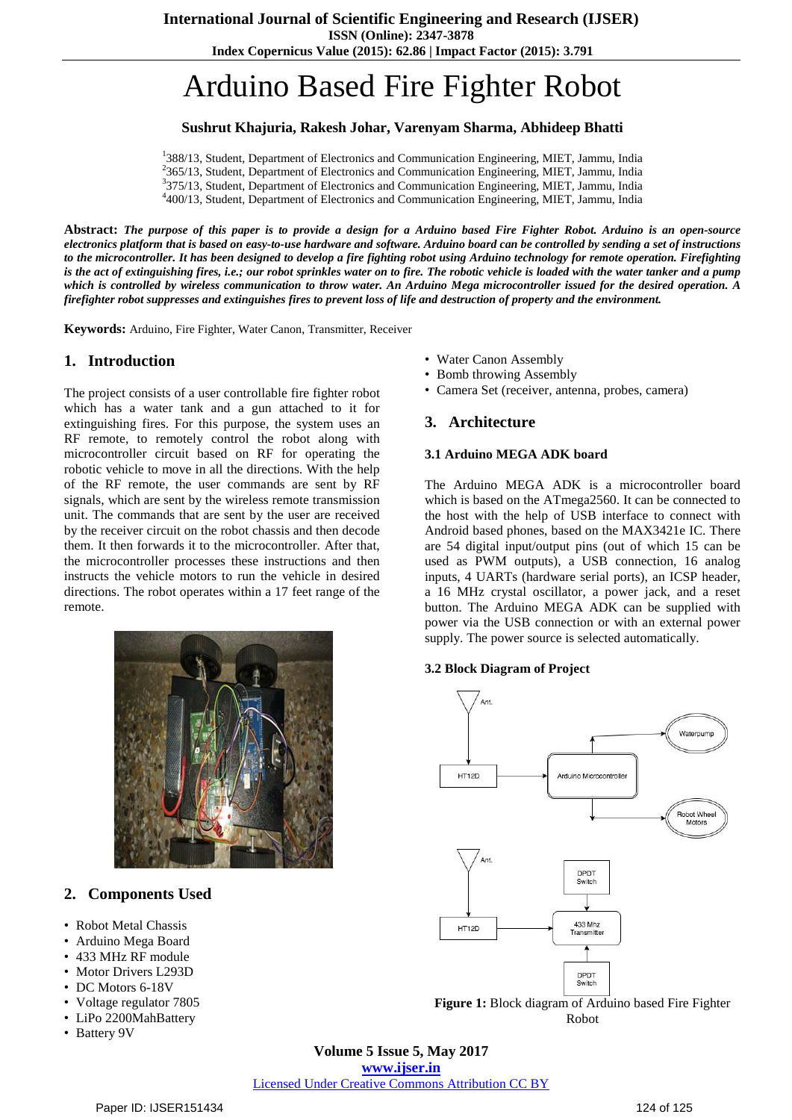**ISSN (Online): 2347-3878**

**Index Copernicus Value (2015): 62.86 | Impact Factor (2015): 3.791**

# Arduino Based Fire Fighter Robot

### **Sushrut Khajuria, Rakesh Johar, Varenyam Sharma, Abhideep Bhatti**

<sup>1</sup>388/13, Student, Department of Electronics and Communication Engineering, MIET, Jammu, India <sup>2</sup>365/13, Student, Department of Electronics and Communication Engineering, MIET, Jammu, India <sup>3</sup>375/13, Student, Department of Electronics and Communication Engineering, MIET, Jammu, India 4 400/13, Student, Department of Electronics and Communication Engineering, MIET, Jammu, India

Abstract: The purpose of this paper is to provide a design for a Arduino based Fire Fighter Robot. Arduino is an open-source electronics platform that is based on easy-to-use hardware and software. Arduino board can be controlled by sending a set of instructions to the microcontroller. It has been designed to develop a fire fighting robot using Arduino technology for remote operation. Firefighting is the act of extinguishing fires, i.e.; our robot sprinkles water on to fire. The robotic vehicle is loaded with the water tanker and a pump which is controlled by wireless communication to throw water. An Arduino Mega microcontroller issued for the desired operation. A firefighter robot suppresses and extinguishes fires to prevent loss of life and destruction of property and the environment.

**Keywords:** Arduino, Fire Fighter, Water Canon, Transmitter, Receiver

#### **1. Introduction**

The project consists of a user controllable fire fighter robot which has a water tank and a gun attached to it for extinguishing fires. For this purpose, the system uses an RF remote, to remotely control the robot along with microcontroller circuit based on RF for operating the robotic vehicle to move in all the directions. With the help of the RF remote, the user commands are sent by RF signals, which are sent by the wireless remote transmission unit. The commands that are sent by the user are received by the receiver circuit on the robot chassis and then decode them. It then forwards it to the microcontroller. After that, the microcontroller processes these instructions and then instructs the vehicle motors to run the vehicle in desired directions. The robot operates within a 17 feet range of the remote.



## **2. Components Used**

- Robot Metal Chassis
- Arduino Mega Board
- 433 MHz RF module
- Motor Drivers L293D
- DC Motors 6-18V
- Voltage regulator 7805
- LiPo 2200MahBattery
- Battery 9V
- Water Canon Assembly
- Bomb throwing Assembly
- Camera Set (receiver, antenna, probes, camera)

#### **3. Architecture**

#### **3.1 Arduino MEGA ADK board**

The Arduino MEGA ADK is a microcontroller board which is based on the ATmega2560. It can be connected to the host with the help of USB interface to connect with Android based phones, based on the MAX3421e IC. There are 54 digital input/output pins (out of which 15 can be used as PWM outputs), a USB connection, 16 analog inputs, 4 UARTs (hardware serial ports), an ICSP header, a 16 MHz crystal oscillator, a power jack, and a reset button. The Arduino MEGA ADK can be supplied with power via the USB connection or with an external power supply. The power source is selected automatically.

#### **3.2 Block Diagram of Project**



Robot

**Volume 5 Issue 5, May 2017 www.ijser.in** Licensed Under Creative Commons Attribution CC BY